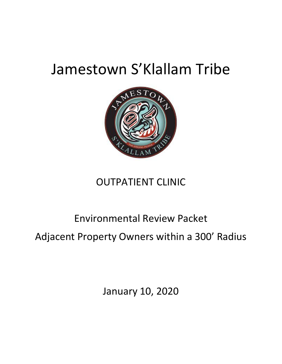## Jamestown S'Klallam Tribe



## OUTPATIENT CLINIC

## Environmental Review Packet

Adjacent Property Owners within a 300' Radius

January 10, 2020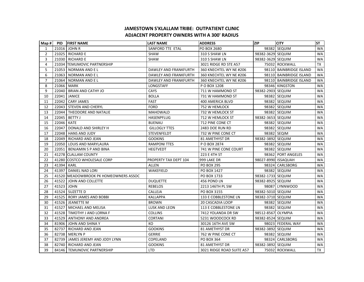## **JAMESTOWN S'KLALLAM TRIBE: OUTPATIENT CLINICADJACENT PROPERTY OWNERS WITH A 300' RADIUS**

| Map H          | PID        | <b>FIRST NAME</b>                     | <b>LAST NAME</b>      | <b>ADDRESS</b>            | <b>ZIP</b>          | <b>CITY</b>             | <b>ST</b> |
|----------------|------------|---------------------------------------|-----------------------|---------------------------|---------------------|-------------------------|-----------|
| 1              |            | 21016 JOHN R                          | SANFORD TTE ETAL      | PO BOX 2680               |                     | 98382 SEQUIM            | <b>WA</b> |
| $\overline{2}$ |            | 21025 RICHARD E                       | <b>SHAW</b>           | 310 S SHAW LN             | 98382-3629 SEQUIM   |                         | WA        |
| 3              |            | 21030 RICHARD E                       | <b>SHAW</b>           | 310 S SHAW LN             | 98382-3629 SEQUIM   |                         | <b>WA</b> |
| 4              |            | 21034 TEMUMOVIC PARTNERSHIP           |                       | 3021 RIDGE RD STE A57     |                     | 75032 ROCKWALL          | TX        |
| 5              |            | 21053   NORMAN AND EL                 | DAWLEY AND FRANKFURTH | 360 KNECHTEL WY NE #206   |                     | 98110 BAINBRIDGE ISLAND | <b>WA</b> |
| 6              |            | 21063 NORMAN AND EL                   | DAWLEY AND FRANKFURTH | 360 KNECHTEL WY NE #206   |                     | 98110 BAINBRIDGE ISLAND | <b>WA</b> |
| $\overline{7}$ |            | 21064   NORMAN AND E L                | DAWLEY AND FRANKFURTH | 360 KNECHTEL WY NE #206   |                     | 98110 BAINBRIDGE ISLAND | <b>WA</b> |
| 8              | 21066 MARK |                                       | LONGSTAFF             | P O BOX 1208              |                     | 98346 KINGSTON          | WA        |
| 9              |            | 22040   BRIAN AND CATHY JO            | CAYS                  | 711 W HAMMOND ST          | 98382-2903 SEQUIM   |                         | WA        |
| 10             | 22041      | JANICE                                | <b>BOLLA</b>          | 731 W HAMMOND ST          |                     | 98382 SEQUIM            | <b>WA</b> |
| 11             |            | 22042 CARY JAMES                      | <b>FAST</b>           | 400 AMERICA BLVD          |                     | 98382 SEQUIM            | WA        |
| 12             |            | 22043   STEVEN AND CHERYL             | <b>FORD</b>           | 752 W HEMLOCK             |                     | 98382 SEQUIM            | WA        |
| 13             |            | 22044   THEODORE AND NATALIE          | <b>MAHOWALD</b>       | 732 W HEMLOCK ST          |                     | 98382 SEQUIM            | WA        |
| 14             |            | 22045   BETTY J                       | HASENPFLUG            | 712 W HEMLOCK ST          | 98382-3653 SEQUIM   |                         | WA        |
| 15             | 22046 KATE |                                       | BUENAU                | 712 PINE CONE CT          |                     | 98382 SEQUIM            | <b>WA</b> |
| 16             |            | 22047   DONALD AND SHIRLEY H          | <b>GILLOGLY TTES</b>  | 2483 DOE RUN RD           |                     | 98382 SEQUIM            | WA        |
| 17             |            | 22048 HANS AND JUDY                   | STEVENFELDT           | 732 W PINE CONE CT        |                     | 98382 SEQIM             | WA        |
| 18             |            | 22049 RICHARD AND JEAN                | <b>GOOKINS</b>        | <b>81 AMETHYST DR</b>     | 98382-3892 SEQUIM   |                         | WA        |
| 19             |            | 22050   LOUIS AND MARYLAURA           | <b>RAMPONI TTES</b>   | P O BOX 2874              |                     | 98382 SEQUIM            | <b>WA</b> |
| 20             |            | 22051   BENJAMIN S P AND BINA         | <b>HEGTVEDT</b>       | 741 W PINE CONE COURT     |                     | 98382 SEQUIM            | <b>WA</b> |
| 21             |            | 41278 CLALLAM COUNTY                  |                       | 223 E 4TH ST              |                     | 98362 PORT ANGELES      | WA        |
| 22             |            | 41280 COSTCO WHOLESALE CORP           | PROPERTY TAX DEPT 104 | 999 LAKE DR               | 98027-8990 ISSAQUAH |                         | WA        |
| 23             | 41394 KARL |                                       | ALLEN                 | <b>PO BOX 295</b>         |                     | 98324 CARLSBORG         | <b>WA</b> |
| 24             |            | 41397 DANIEL NAD LORI                 | WAKEFIELD             | PO BOX 1427               |                     | 98382 SEQUIM            | WA        |
| 25             |            | 41520 MEADOWBROOK PK HOMEOWNERS ASSOC |                       | PO BOX 1733               | 98382-1733 SEQUIM   |                         | <b>WA</b> |
| 26             |            | 41522 JOHN AND COLLETTE               | <b>DUQUETTE</b>       | 456 POND LN               | 98382-8925 SEQUIM   |                         | WA        |
| 27             | 41523 JOHN |                                       | <b>REBELOS</b>        | 2213 146TH PL SW          |                     | 98087 LYNNWOOD          | <b>WA</b> |
| 28             |            | 41524   SUZETTE D                     | CALLEJA               | PO BOX 3155               | 98382-5010 SEQUIM   |                         | WA        |
| 29             |            | 41525   RORY JAMES AND BOBBI          | KALLAPPA              | 133 E COBBLESTONE LN      | 98382-3710 SEQUIM   |                         | <b>WA</b> |
| 30             |            | 41526 JEANETTE M                      | <b>BROWN</b>          | 20 CASCADIA LOOP          |                     | 98382 SEQUIM            | WA        |
| 31             |            | 41527 MICHAEL AND MELISA              | LUSK AND LEON         | 113 E COBBLESTONE LN      |                     | 98382 SEQUIM            | WA        |
| 32             |            | 41528 TIMOTHY J AND LORNA F           | <b>COLLINS</b>        | 7412 YOLANDA DR SW        | 98512-8567 OLYMPIA  |                         | <b>WA</b> |
| 33             |            | 41529 ANTHONY AND ANDREA              | <b>CORTANI</b>        | 5231 WOODCOCK RD          | 98382-8524 SEQUIM   |                         | <b>WA</b> |
| 34             | 81906      | JOHN AND SHINA Y                      | КO                    | 30126 16TH AVE SW         |                     | 98023 FEDERAL WAY       | <b>WA</b> |
| 35             |            | 82737   RICHARD AND JEAN              | <b>GOOKINS</b>        | 81 AMETHYST DR            | 98382-3892 SEQUIM   |                         | WA        |
| 36             |            | 82738 MERLYN P                        | <b>GERRIE</b>         | 762 W PINE CONE CT        |                     | 98382 SEQUIM            | WA        |
| 37             |            | 82739 JAMES JEREMY AND JODY LYNN      | COPELAND              | PO BOX 364                |                     | 98324 CARLSBORG         | <b>WA</b> |
| 38             |            | 82740 RICHARD AND JEAN                | <b>GOOKINS</b>        | 81 AMETHYST DR            | 98382-3892 SEQUIM   |                         | <b>WA</b> |
| 39             |            | 84146 TEMUNOVIC PARTNERSHIP           | <b>LTD</b>            | 3021 RIDGE ROAD SUITE A57 |                     | 75032 ROCKWALL          | <b>TX</b> |